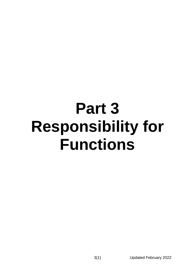# **Part 3 Responsibility for Functions**

3(1) Updated February 2022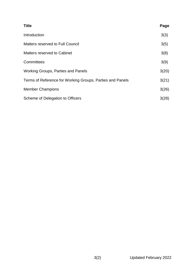| <b>Title</b>                                              | Page  |
|-----------------------------------------------------------|-------|
| Introduction                                              | 3(3)  |
| <b>Matters reserved to Full Council</b>                   | 3(5)  |
| Matters reserved to Cabinet                               | 3(8)  |
| Committees                                                | 3(9)  |
| <b>Working Groups, Parties and Panels</b>                 | 3(20) |
| Terms of Reference for Working Groups, Parties and Panels | 3(21) |
| <b>Member Champions</b>                                   | 3(26) |
| Scheme of Delegation to Officers                          | 3(28) |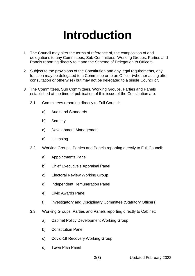# **Introduction**

- <span id="page-2-0"></span>1 The Council may alter the terms of reference of, the composition of and delegations to any Committees, Sub Committees, Working Groups, Parties and Panels reporting directly to it and the Scheme of Delegation to Officers.
- 2 Subject to the provisions of the Constitution and any legal requirements, any function may be delegated to a Committee or to an Officer (whether acting after consultation or otherwise) but may not be delegated to a single Councillor.
- 3 The Committees, Sub Committees, Working Groups, Parties and Panels established at the time of publication of this issue of the Constitution are:
	- 3.1. Committees reporting directly to Full Council:
		- a) Audit and Standards
		- b) Scrutiny
		- c) Development Management
		- d) Licensing
	- 3.2. Working Groups, Parties and Panels reporting directly to Full Council:
		- a) Appointments Panel
		- b) Chief Executive's Appraisal Panel
		- c) Electoral Review Working Group
		- d) Independent Remuneration Panel
		- e) Civic Awards Panel
		- f) Investigatory and Disciplinary Committee (Statutory Officers)
	- 3.3. Working Groups, Parties and Panels reporting directly to Cabinet:
		- a) Cabinet Policy Development Working Group
		- b) Constitution Panel
		- c) Covid-19 Recovery Working Group
		- d) Town Plan Panel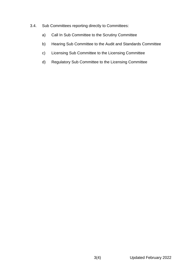- 3.4. Sub Committees reporting directly to Committees:
	- a) Call In Sub Committee to the Scrutiny Committee
	- b) Hearing Sub Committee to the Audit and Standards Committee
	- c) Licensing Sub Committee to the Licensing Committee
	- d) Regulatory Sub Committee to the Licensing Committee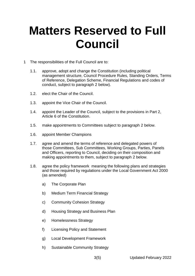# **Matters Reserved to Full Council**

- <span id="page-4-0"></span>1 The responsibilities of the Full Council are to:
	- 1.1. approve, adopt and change the Constitution (including political management structure, Council Procedure Rules, Standing Orders, Terms of Reference, Delegation Scheme, Financial Regulations and codes of conduct, subject to paragraph 2 below).
	- 1.2. elect the Chair of the Council.
	- 1.3. appoint the Vice Chair of the Council.
	- 1.4. appoint the Leader of the Council, subject to the provisions in Part 2, Article 6 of the Constitution.
	- 1.5. make appointments to Committees subject to paragraph 2 below.
	- 1.6. appoint Member Champions
	- 1.7. agree and amend the terms of reference and delegated powers of those Committees, Sub Committees, Working Groups, Parties, Panels and Officers, reporting to Council, deciding on their composition and making appointments to them, subject to paragraph 2 below.
	- 1.8. agree the policy framework meaning the following plans and strategies and those required by regulations under the Local Government Act 2000 (as amended)
		- a) The Corporate Plan
		- b) Medium Term Financial Strategy
		- c) Community Cohesion Strategy
		- d) Housing Strategy and Business Plan
		- e) Homelessness Strategy
		- f) Licensing Policy and Statement
		- g) Local Development Framework
		- h) Sustainable Community Strategy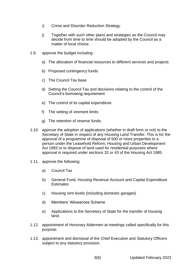- i) Crime and Disorder Reduction Strategy.
- j) Together with such other plans and strategies as the Council may decide from time to time should be adopted by the Council as a matter of local choice.
- 1.9. approve the budget including :
	- a) The allocation of financial resources to different services and projects
	- b) Proposed contingency funds
	- c) The Council Tax base
	- d) Setting the Council Tax and decisions relating to the control of the Council's borrowing requirement
	- e) The control of its capital expenditure
	- f) The setting of virement limits
	- g) The retention of reserve funds.
- 1.10. approve the adoption of applications (whether in draft form or not) to the Secretary of State in respect of any Housing Land Transfer. This is for the approval of a programme of disposal of 500 or more properties to a person under the Leasehold Reform, Housing and Urban Development Act 1993 or to dispose of land used for residential purposes where approval is required under sections 32 or 43 of the Housing Act 1985.
- 1.11. approve the following:
	- a) Council Tax
	- b) General Fund, Housing Revenue Account and Capital Expenditure **Estimates**
	- c) Housing rent levels (including domestic garages)
	- d) Members' Allowances Scheme
	- e) Applications to the Secretary of State for the transfer of housing land.
- 1.12. appointment of Honorary Aldermen at meetings called specifically for this purpose.
- 1.13. appointment and dismissal of the Chief Executive and Statutory Officers subject to any statutory provision.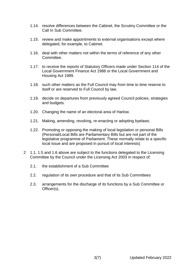- 1.14. resolve differences between the Cabinet, the Scrutiny Committee or the Call In Sub Committee.
- 1.15. review and make appointments to external organisations except where delegated, for example, to Cabinet.
- 1.16. deal with other matters not within the terms of reference of any other Committee.
- 1.17. to receive the reports of Statutory Officers made under Section 114 of the Local Government Finance Act 1988 or the Local Government and Housing Act 1989.
- 1.18. such other matters as the Full Council may from time to time reserve to itself or are reserved to Full Council by law.
- 1.19. decide on departures from previously agreed Council policies, strategies and budgets.
- 1.20. Changing the name of an electoral area of Harlow.
- 1.21. Making, amending, revoking, re-enacting or adopting byelaws.
- 1.22. Promoting or opposing the making of local legislation or personal Bills (Personal/Local Bills are Parliamentary Bills but are not part of the legislative programme of Parliament. These normally relate to a specific local issue and are proposed in pursuit of local interests)
- 2 1.1, 1.5 and 1.6 above are subject to the functions delegated to the Licensing Committee by the Council under the Licensing Act 2003 in respect of:
	- 2.1. the establishment of a Sub Committee
	- 2.2. regulation of its own procedure and that of its Sub Committees
	- 2.3. arrangements for the discharge of its functions by a Sub Committee or Officer(s).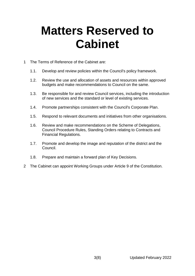# **Matters Reserved to Cabinet**

- 1 The Terms of Reference of the Cabinet are:
	- 1.1. Develop and review policies within the Council's policy framework.
	- 1.2. Review the use and allocation of assets and resources within approved budgets and make recommendations to Council on the same.
	- 1.3. Be responsible for and review Council services, including the introduction of new services and the standard or level of existing services.
	- 1.4. Promote partnerships consistent with the Council's Corporate Plan.
	- 1.5. Respond to relevant documents and initiatives from other organisations.
	- 1.6. Review and make recommendations on the Scheme of Delegations, Council Procedure Rules, Standing Orders relating to Contracts and Financial Regulations.
	- 1.7. Promote and develop the image and reputation of the district and the Council.
	- 1.8. Prepare and maintain a forward plan of Key Decisions.
- 2 The Cabinet can appoint Working Groups under Article 9 of the Constitution.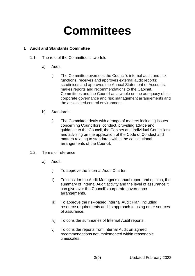# **Committees**

# **1 Audit and Standards Committee**

- 1.1. The role of the Committee is two-fold:
	- a) Audit
		- i) The Committee oversees the Council's internal audit and risk functions, receives and approves external audit reports; scrutinises and approves the Annual Statement of Accounts, makes reports and recommendations to the Cabinet, Committees and the Council as a whole on the adequacy of its corporate governance and risk management arrangements and the associated control environment.
	- b) Standards
		- i) The Committee deals with a range of matters including issues concerning Councillors' conduct, providing advice and guidance to the Council, the Cabinet and individual Councillors and advising on the application of the Code of Conduct and matters relating to standards within the constitutional arrangements of the Council.
- 1.2. Terms of reference
	- a) Audit
		- i) To approve the Internal Audit Charter.
		- ii) To consider the Audit Manager's annual report and opinion, the summary of Internal Audit activity and the level of assurance it can give over the Council's corporate governance arrangements.
		- iii) To approve the risk-based Internal Audit Plan, including resource requirements and its approach to using other sources of assurance.
		- iv) To consider summaries of Internal Audit reports.
		- v) To consider reports from Internal Audit on agreed recommendations not implemented within reasonable timescales.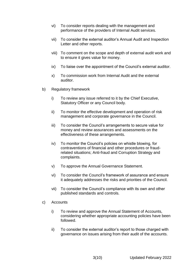- vi) To consider reports dealing with the management and performance of the providers of Internal Audit services.
- vii) To consider the external auditor's Annual Audit and Inspection Letter and other reports.
- viii) To comment on the scope and depth of external audit work and to ensure it gives value for money.
- ix) To liaise over the appointment of the Council's external auditor.
- x) To commission work from Internal Audit and the external auditor.
- b) Regulatory framework
	- i) To review any issue referred to it by the Chief Executive, Statutory Officer or any Council body.
	- ii) To monitor the effective development and operation of risk management and corporate governance in the Council.
	- iii) To consider the Council's arrangements to secure value for money and review assurances and assessments on the effectiveness of these arrangements.
	- iv) To monitor the Council's policies on whistle blowing, for contraventions of financial and other procedures or fraudrelated situations; Anti-fraud and Corruption Strategy and complaints.
	- v) To approve the Annual Governance Statement.
	- vi) To consider the Council's framework of assurance and ensure it adequately addresses the risks and priorities of the Council.
	- vii) To consider the Council's compliance with its own and other published standards and controls.
- c) Accounts
	- i) To review and approve the Annual Statement of Accounts, considering whether appropriate accounting policies have been followed.
	- ii) To consider the external auditor's report to those charged with governance on issues arising from their audit of the accounts.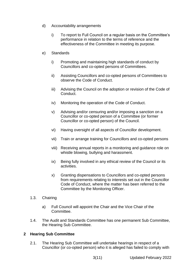- d) Accountability arrangements
	- i) To report to Full Council on a regular basis on the Committee's performance in relation to the terms of reference and the effectiveness of the Committee in meeting its purpose.
- e) Standards
	- i) Promoting and maintaining high standards of conduct by Councillors and co-opted persons of Committees.
	- ii) Assisting Councillors and co-opted persons of Committees to observe the Code of Conduct.
	- iii) Advising the Council on the adoption or revision of the Code of Conduct.
	- iv) Monitoring the operation of the Code of Conduct.
	- v) Advising and/or censuring and/or imposing a sanction on a Councillor or co-opted person of a Committee (or former Councillor or co-opted person) of the Council.
	- vi) Having oversight of all aspects of Councillor development.
	- vii) Train or arrange training for Councillors and co-opted persons
	- viii) Receiving annual reports in a monitoring and guidance role on whistle blowing, bullying and harassment.
	- ix) Being fully involved in any ethical review of the Council or its activities.
	- x) Granting dispensations to Councillors and co-opted persons from requirements relating to interests set out in the Councillor Code of Conduct, where the matter has been referred to the Committee by the Monitoring Officer.
- 1.3. Chairing
	- a) Full Council will appoint the Chair and the Vice Chair of the Committee.
- 1.4. The Audit and Standards Committee has one permanent Sub Committee, the Hearing Sub Committee.

# **2 Hearing Sub Committee**

2.1. The Hearing Sub Committee will undertake hearings in respect of a Councillor (or co-opted person) who it is alleged has failed to comply with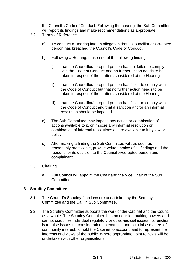the Council's Code of Conduct. Following the hearing, the Sub Committee will report its findings and make recommendations as appropriate.

- 2.2. Terms of Reference
	- a) To conduct a Hearing into an allegation that a Councillor or Co-opted person has breached the Council's Code of Conduct.
	- b) Following a Hearing, make one of the following findings:
		- i) that the Councillor/co-opted person has not failed to comply with the Code of Conduct and no further action needs to be taken in respect of the matters considered at the Hearing.
		- ii) that the Councillor/co-opted person has failed to comply with the Code of Conduct but that no further action needs to be taken in respect of the matters considered at the Hearing.
		- iii) that the Councillor/co-opted person has failed to comply with the Code of Conduct and that a sanction and/or an informal resolution should be imposed.
	- c) The Sub Committee may impose any action or combination of actions available to it, or impose any informal resolution or combination of informal resolutions as are available to it by law or policy.
	- d) After making a finding the Sub Committee will, as soon as reasonably practicable, provide written notice of its findings and the reasons for its decision to the Councillor/co-opted person and complainant.
- 2.3. Chairing
	- a) Full Council will appoint the Chair and the Vice Chair of the Sub Committee.

# **3 Scrutiny Committee**

- 3.1. The Council's Scrutiny functions are undertaken by the Scrutiny Committee and the Call In Sub Committee.
- 3.2. The Scrutiny Committee supports the work of the Cabinet and the Council as a whole. The Scrutiny Committee has no decision making powers and cannot scrutinise individual regulatory or quasi-judicial issues. Its function is to raise issues for consideration, to examine and scrutinise matters of community interest, to hold the Cabinet to account, and to represent the interests and views of the public. Where appropriate, joint reviews will be undertaken with other organisations.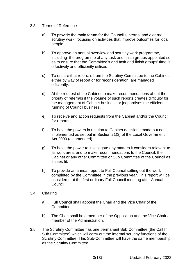- 3.3. Terms of Reference
	- a) To provide the main forum for the Council's internal and external scrutiny work, focusing on activities that improve outcomes for local people.
	- b) To approve an annual overview and scrutiny work programme, including the programme of any task and finish groups appointed so as to ensure that the Committee's and task and finish groups' time is effectively and efficiently utilised.
	- c) To ensure that referrals from the Scrutiny Committee to the Cabinet, either by way of report or for reconsideration, are managed efficiently.
	- d) At the request of the Cabinet to make recommendations about the priority of referrals if the volume of such reports creates difficulty for the management of Cabinet business or jeopardises the efficient running of Council business.
	- e) To receive and action requests from the Cabinet and/or the Council for reports.
	- f) To have the powers in relation to Cabinet decisions made but not implemented as set out in Section 21(3) of the Local Government Act 2000 (as amended).
	- g) To have the power to investigate any matters it considers relevant to its work area, and to make recommendations to the Council, the Cabinet or any other Committee or Sub Committee of the Council as it sees fit.
	- h) To provide an annual report to Full Council setting out the work completed by the Committee in the previous year. This report will be considered at the first ordinary Full Council meeting after Annual Council.
- 3.4. Chairing
	- a) Full Council shall appoint the Chair and the Vice Chair of the Committee.
	- b) The Chair shall be a member of the Opposition and the Vice Chair a member of the Administration.
- 3.5. The Scrutiny Committee has one permanent Sub Committee (the Call In Sub Committee) which will carry out the internal scrutiny functions of the Scrutiny Committee. This Sub-Committee will have the same membership as the Scrutiny Committee.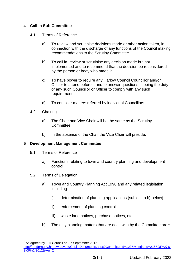# **4 Call In Sub Committee**

- 4.1. Terms of Reference
	- a) To review and scrutinise decisions made or other action taken, in connection with the discharge of any functions of the Council making recommendations to the Scrutiny Committee.
	- b) To call in, review or scrutinise any decision made but not implemented and to recommend that the decision be reconsidered by the person or body who made it.
	- c) To have power to require any Harlow Council Councillor and/or Officer to attend before it and to answer questions; it being the duty of any such Councillor or Officer to comply with any such requirement.
	- d) To consider matters referred by individual Councillors.
- 4.2. Chairing
	- a) The Chair and Vice Chair will be the same as the Scrutiny Committee.
	- b) In the absence of the Chair the Vice Chair will preside.

# **5 Development Management Committee**

- 5.1. Terms of Reference
	- a) Functions relating to town and country planning and development control.
- 5.2. Terms of Delegation
	- a) Town and Country Planning Act 1990 and any related legislation including:
		- i) determination of planning applications (subject to b) below)
		- ii) enforcement of planning control
		- iii) waste land notices, purchase notices, etc.
	- b) The only planning matters that are dealt with by the Committee are<sup>1</sup>:

<sup>1</sup> <sup>1</sup> As agreed by Full Council on 27 September 2012

[http://moderngov.harlow.gov.uk/CeListDocuments.aspx?CommitteeId=123&MeetingId=216&DF=27%](http://moderngov.harlow.gov.uk/CeListDocuments.aspx?CommitteeId=123&MeetingId=216&DF=27%2f09%2f2012&Ver=2) [2f09%2f2012&Ver=2](http://moderngov.harlow.gov.uk/CeListDocuments.aspx?CommitteeId=123&MeetingId=216&DF=27%2f09%2f2012&Ver=2)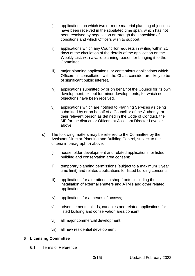- i) applications on which two or more material planning objections have been received in the stipulated time span, which has not been resolved by negotiation or through the imposition of conditions and which Officers wish to support.
- ii) applications which any Councillor requests in writing within 21 days of the circulation of the details of the application on the Weekly List, with a valid planning reason for bringing it to the Committee.
- iii) major planning applications, or contentious applications which Officers, in consultation with the Chair, consider are likely to be of significant public interest.
- iv) applications submitted by or on behalf of the Council for its own development, except for minor developments, for which no objections have been received.
- v) applications which are notified to Planning Services as being submitted by or on behalf of a Councillor of the Authority, or their relevant person as defined in the Code of Conduct, the MP for the district, or Officers at Assistant Director Level or above.
- c) The following matters may be referred to the Committee by the Assistant Director Planning and Building Control, subject to the criteria in paragraph b) above:
	- i) householder development and related applications for listed building and conservation area consent;
	- ii) temporary planning permissions (subject to a maximum 3 year time limit) and related applications for listed building consents;
	- iii) applications for alterations to shop fronts, including the installation of external shutters and ATM's and other related applications;
	- iv) applications for a means of access;
	- v) advertisements, blinds, canopies and related applications for listed building and conservation area consent;
	- vi) all major commercial development;
	- vii) all new residential development.

# **6 Licensing Committee**

6.1. Terms of Reference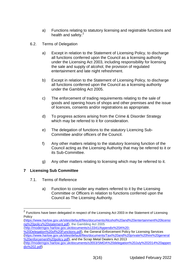- a) Functions relating to statutory licensing and registrable functions and health and safety. $2^2$
- 6.2. Terms of Delegation
	- a) Except in relation to the Statement of Licensing Policy, to discharge all functions conferred upon the Council as a licensing authority under the Licensing Act 2003, including responsibility for licensing the sale and supply of alcohol, the provision of regulated entertainment and late night refreshment.
	- b) Except in relation to the Statement of Licensing Policy, to discharge all functions conferred upon the Council as a licensing authority under the Gambling Act 2005.
	- c) The enforcement of trading requirements relating to the sale of goods and opening hours of shops and other premises and the issue of licences, consents and/or registrations as appropriate.
	- d) To progress actions arising from the Crime & Disorder Strategy which may be referred to it for consideration.
	- e) The delegation of functions to the statutory Licencing Sub-Committee and/or officers of the Council.
	- f) Any other matters relating to the statutory licensing function of the Council acting as the Licensing Authority that may be referred to it or its Sub-Committee.
	- g) Any other matters relating to licensing which may be referred to it.

# **7 Licensing Sub Committee**

1

- 7.1. Terms of Reference
	- a) Function to consider any matters referred to it by the Licensing Committee or Officers in relation to functions conferred upon the Council as The Licensing Authority.

[\(https://www.harlow.gov.uk/sites/default/files/documents/Alcohol%20and%20entertainment%20licensi](https://www.harlow.gov.uk/sites/default/files/documents/Alcohol%20and%20entertainment%20licensing%20policy%20statement.pdf) [ng%20policy%20statement.pdf\)](https://www.harlow.gov.uk/sites/default/files/documents/Alcohol%20and%20entertainment%20licensing%20policy%20statement.pdf), the Gambling Act 2005

[\(http://moderngov.harlow.gov.uk/documents/s13341/Appendix%20A%20-](http://moderngov.harlow.gov.uk/documents/s13341/Appendix%20A%20-%20Delegation%20of%20Functions.pdf)

 $2$  Functions have been delegated in respect of the Licensing Act 2003 in the Statement of Licensing Policy

[<sup>%20</sup>Delegation%20of%20Functions.pdf\)](http://moderngov.harlow.gov.uk/documents/s13341/Appendix%20A%20-%20Delegation%20of%20Functions.pdf), the General Enforcement Policy for Licensing Services [\(https://www.harlow.gov.uk/sites/default/files/documents/Taxi%20and%20private%20hire%20general](https://www.harlow.gov.uk/sites/default/files/documents/Taxi%20and%20private%20hire%20general%20enforcement%20policy.pdf) [%20enforcement%20policy.pdf\)](https://www.harlow.gov.uk/sites/default/files/documents/Taxi%20and%20private%20hire%20general%20enforcement%20policy.pdf), and the Scrap Metal Dealers Act 2013

[<sup>\(</sup>http://moderngov.harlow.gov.uk/documents/s3553/SMDA%20delegation%20July%202014%20appen](http://moderngov.harlow.gov.uk/documents/s3553/SMDA%20delegation%20July%202014%20appendix%202.pdf) [dix%202.pdf\)](http://moderngov.harlow.gov.uk/documents/s3553/SMDA%20delegation%20July%202014%20appendix%202.pdf)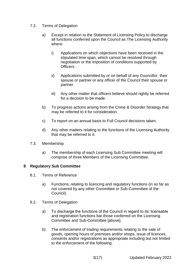- 7.2. Terms of Delegation
	- a) Except in relation to the Statement of Licensing Policy to discharge all functions conferred upon the Council as The Licensing Authority where:
		- i) Applications on which objections have been received in the stipulated time span, which cannot be resolved through negotiation or the imposition of conditions supported by **Officers**
		- ii) Applications submitted by or on behalf of any Councillor, their spouse or partner or any officer of the Council their spouse or partner.
		- iii) Any other matter that officers believe should rightly be referred for a decision to be made.
	- b) To progress actions arising from the Crime & Disorder Strategy that may be referred to it for consideration.
	- c) To report on an annual basis to Full Council decisions taken.
	- d) Any other matters relating to the functions of the Licensing Authority that may be referred to it.
- 7.3. Membership
	- a) The membership of each Licensing Sub Committee meeting will comprise of three Members of the Licensing Committee.

#### **8 Regulatory Sub Committee**

- 8.1. Terms of Reference
	- a) Functions: relating to licencing and regulatory functions (in so far as not covered by any other Committee or Sub-Committee of the Council).
- 8.2. Terms of Delegation
	- a) To discharge the functions of the Council in regard to its' licensable and registration functions bar those conferred on the Licensing Committee and Sub-Committee [above].
	- b) The enforcement of trading requirements relating to the sale of goods, opening hours of premises and/or shops, issue of licences, consents and/or registrations as appropriate including but not limited to the enforcement of the following: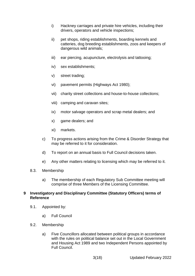- i) Hackney carriages and private hire vehicles, including their drivers, operators and vehicle inspections;
- ii) pet shops, riding establishments, boarding kennels and catteries, dog breeding establishments, zoos and keepers of dangerous wild animals;
- iii) ear piercing, acupuncture, electrolysis and tattooing;
- iv) sex establishments;
- v) street trading;
- vi) pavement permits (Highways Act 1980);
- vii) charity street collections and house-to-house collections;
- viii) camping and caravan sites;
- ix) motor salvage operators and scrap metal dealers; and
- x) game dealers; and
- xi) markets.
- c) To progress actions arising from the Crime & Disorder Strategy that may be referred to it for consideration.
- d) To report on an annual basis to Full Council decisions taken.
- e) Any other matters relating to licensing which may be referred to it.
- 8.3. Membership
	- a) The membership of each Regulatory Sub Committee meeting will comprise of three Members of the Licensing Committee.

#### **9 Investigatory and Disciplinary Committee (Statutory Officers) terms of Reference**

- 9.1. Appointed by:
	- a) Full Council
- 9.2. Membership
	- a) Five Councillors allocated between political groups in accordance with the rules on political balance set out in the Local Government and Housing Act 1989 and two Independent Persons appointed by Full Council.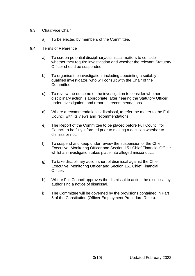- 9.3. Chair/Vice Chair
	- a) To be elected by members of the Committee.
- 9.4. Terms of Reference
	- a) To screen potential disciplinary/dismissal matters to consider whether they require investigation and whether the relevant Statutory Officer should be suspended.
	- b) To organise the investigation, including appointing a suitably qualified investigator, who will consult with the Chair of the Committee.
	- c) To review the outcome of the investigation to consider whether disciplinary action is appropriate, after hearing the Statutory Officer under investigation, and report its recommendations.
	- d) Where a recommendation is dismissal, to refer the matter to the Full Council with its views and recommendations.
	- e) The Report of the Committee to be placed before Full Council for Council to be fully informed prior to making a decision whether to dismiss or not.
	- f) To suspend and keep under review the suspension of the Chief Executive, Monitoring Officer and Section 151 Chief Financial Officer whilst an investigation takes place into alleged misconduct.
	- g) To take disciplinary action short of dismissal against the Chief Executive, Monitoring Officer and Section 151 Chief Financial Officer.
	- h) Where Full Council approves the dismissal to action the dismissal by authorising a notice of dismissal.
	- i) The Committee will be governed by the provisions contained in Part 5 of the Constitution (Officer Employment Procedure Rules).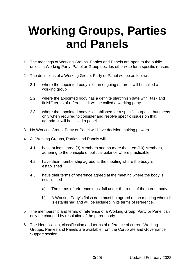# **Working Groups, Parties and Panels**

- <span id="page-19-0"></span>1 The meetings of Working Groups, Parties and Panels are open to the public unless a Working Party, Panel or Group decides otherwise for a specific reason.
- 2 The definitions of a Working Group, Party or Panel will be as follows:
	- 2.1. where the appointed body is of an ongoing nature it will be called a working group
	- 2.2. where the appointed body has a definite start/finish date with "task and finish" terms of reference, it will be called a working party
	- 2.3. where the appointed body is established for a specific purpose, but meets only when required to consider and resolve specific issues on that agenda, it will be called a panel.
- 3 No Working Group, Party or Panel will have decision making powers.
- 4 All Working Groups, Parties and Panels will:
	- 4.1. have at least three (3) Members and no more than ten (10) Members, adhering to the principle of political balance where practicable
	- 4.2. have their membership agreed at the meeting where the body is established
	- 4.3. have their terms of reference agreed at the meeting where the body is established.
		- a) The terms of reference must fall under the remit of the parent body.
		- b) A Working Party's finish date must be agreed at the meeting where it is established and will be included in its terms of reference.
- 5 The membership and terms of reference of a Working Group, Party or Panel can only be changed by resolution of the parent body.
- 6 The identification, classification and terms of reference of current Working Groups, Parties and Panels are available from the Corporate and Governance Support section.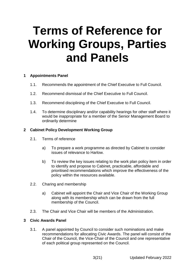# **Terms of Reference for Working Groups, Parties and Panels**

# **1 Appointments Panel**

- 1.1. Recommends the appointment of the Chief Executive to Full Council.
- 1.2. Recommend dismissal of the Chief Executive to Full Council.
- 1.3. Recommend disciplining of the Chief Executive to Full Council.
- 1.4. To determine disciplinary and/or capability hearings for other staff where it would be inappropriate for a member of the Senior Management Board to ordinarily determine

#### **2 Cabinet Policy Development Working Group**

- 2.1. Terms of reference
	- a) To prepare a work programme as directed by Cabinet to consider issues of relevance to Harlow.
	- b) To review the key issues relating to the work plan policy item in order to identify and propose to Cabinet, practicable, affordable and prioritised recommendations which improve the effectiveness of the policy within the resources available.
- 2.2. Charing and membership
	- a) Cabinet will appoint the Chair and Vice Chair of the Working Group along with its membership which can be drawn from the full membership of the Council.
- 2.3. The Chair and Vice Chair will be members of the Administration.

# **3 Civic Awards Panel**

3.1. A panel appointed by Council to consider such nominations and make recommendations for allocating Civic Awards. The panel will consist of the Chair of the Council, the Vice-Chair of the Council and one representative of each political group represented on the Council.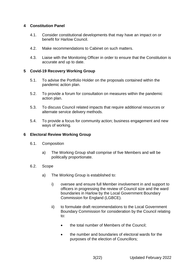### **4 Constitution Panel**

- 4.1. Consider constitutional developments that may have an impact on or benefit for Harlow Council.
- 4.2. Make recommendations to Cabinet on such matters.
- 4.3. Liaise with the Monitoring Officer in order to ensure that the Constitution is accurate and up to date.

#### **5 Covid-19 Recovery Working Group**

- 5.1. To advise the Portfolio Holder on the proposals contained within the pandemic action plan.
- 5.2. To provide a forum for consultation on measures within the pandemic action plan.
- 5.3. To discuss Council related impacts that require additional resources or alternate service delivery methods.
- 5.4. To provide a focus for community action; business engagement and new ways of working.

#### **6 Electoral Review Working Group**

- 6.1. Composition
	- a) The Working Group shall comprise of five Members and will be politically proportionate.
- 6.2. Scope
	- a) The Working Group is established to:
		- i) oversee and ensure full Member involvement in and support to officers in progressing the review of Council size and the ward boundaries in Harlow by the Local Government Boundary Commission for England (LGBCE).
		- ii) to formulate draft recommendations to the Local Government Boundary Commission for consideration by the Council relating to:
			- the total number of Members of the Council:
			- the number and boundaries of electoral wards for the purposes of the election of Councillors;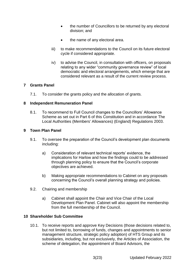- the number of Councillors to be returned by any electoral division; and
- the name of any electoral area.
- iii) to make recommendations to the Council on its future electoral cycle if considered appropriate.
- iv) to advise the Council, in consultation with officers, on proposals relating to any wider "community governance review" of local democratic and electoral arrangements, which emerge that are considered relevant as a result of the current review process.

### **7 Grants Panel**

7.1. To consider the grants policy and the allocation of grants.

### **8 Independent Remuneration Panel**

8.1. To recommend to Full Council changes to the Councillors' Allowance Scheme as set out in Part 6 of this Constitution and in accordance The Local Authorities (Members' Allowances) (England) Regulations 2003.

### **9 Town Plan Panel**

- 9.1. To oversee the preparation of the Council's development plan documents including:
	- a) Consideration of relevant technical reports' evidence, the implications for Harlow and how the findings could to be addressed through planning policy to ensure that the Council's corporate objectives are achieved.
	- b) Making appropriate recommendations to Cabinet on any proposals concerning the Council's overall planning strategy and policies.
- 9.2. Chairing and membership
	- a) Cabinet shall appoint the Chair and Vice Chair of the Local Development Plan Panel. Cabinet will also appoint the membership from the full membership of the Council.

# **10 Shareholder Sub Committee**

10.1. To receive reports and approve Key Decisions (those decisions related to, but not limited to, borrowing of funds, changes and appointments to senior management structure, strategic policy adoption) of HTS Group and its subsidiaries, including, but not exclusively, the Articles of Association, the scheme of delegation, the appointment of Board Advisors, the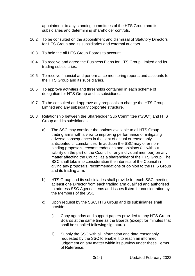appointment to any standing committees of the HTS Group and its subsidiaries and determining shareholder controls.

- 10.2. To be consulted on the appointment and dismissal of Statutory Directors for HTS Group and its subsidiaries and external auditors.
- 10.3. To hold the all HTS Group Boards to account.
- 10.4. To receive and agree the Business Plans for HTS Group Limited and its trading subsidiaries.
- 10.5. To receive financial and performance monitoring reports and accounts for the HTS Group and its subsidiaries.
- 10.6. To approve activities and thresholds contained in each scheme of delegation for HTS Group and its subsidiaries.
- 10.7. To be consulted and approve any proposals to change the HTS Group Limited and any subsidiary corporate structure.
- 10.8. Relationship between the Shareholder Sub Committee ("SSC") and HTS Group and its subsidiaries.
	- a) The SSC may consider the options available to all HTS Group trading arms with a view to improving performance or mitigating adverse consequences in the light of actual or reasonably anticipated circumstances. In addition the SSC may offer nonbinding proposals, recommendations and opinions (all without liability on the part of the Council or any individual member) on any matter affecting the Council as a shareholder of the HTS Group. The SSC shall take into consideration the interests of the Council in giving any proposals, recommendations or opinion to the HTS Group and its trading arm.
	- b) HTS Group and its subsidiaries shall provide for each SSC meeting at least one Director from each trading arm qualified and authorised to address SSC Agenda items and issues listed for consideration by the Members of the SSC
	- c) Upon request by the SSC, HTS Group and its subsidiaries shall provide:
		- i) Copy agendas and support papers provided to any HTS Group Boards at the same time as the Boards (except for minutes that shall be supplied following signature).
		- ii) Supply the SSC with all information and data reasonably requested by the SSC to enable it to reach an informed judgement on any matter within its purview under these Terms of Reference.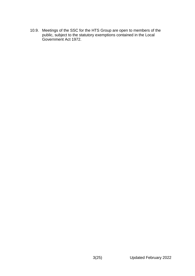10.9. Meetings of the SSC for the HTS Group are open to members of the public, subject to the statutory exemptions contained in the Local Government Act 1972.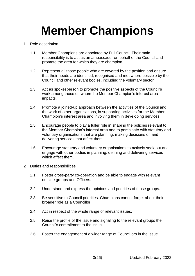# **Member Champions**

- 1 Role description
	- 1.1. Member Champions are appointed by Full Council. Their main responsibility is to act as an ambassador on behalf of the Council and promote the area for which they are champion,
	- 1.2. Represent all those people who are covered by the position and ensure that their needs are identified, recognised and met where possible by the Council and other relevant bodies, including the voluntary sector.
	- 1.3. Act as spokesperson to promote the positive aspects of the Council's work among those on whom the Member Champion's interest area impacts.
	- 1.4. Promote a joined-up approach between the activities of the Council and the work of other organisations, in supporting activities for the Member Champion's interest area and involving them in developing services.
	- 1.5. Encourage people to play a fuller role in shaping the policies relevant to the Member Champion's interest area and to participate with statutory and voluntary organisations that are planning, making decisions on and delivering services that affect them.
	- 1.6. Encourage statutory and voluntary organisations to actively seek out and engage with other bodies in planning, defining and delivering services which affect them.
- 2 Duties and responsibilities
	- 2.1. Foster cross-party co-operation and be able to engage with relevant outside groups and Officers.
	- 2.2. Understand and express the opinions and priorities of those groups.
	- 2.3. Be sensitive to Council priorities. Champions cannot forget about their broader role as a Councillor.
	- 2.4. Act in respect of the whole range of relevant issues.
	- 2.5. Raise the profile of the issue and signaling to the relevant groups the Council's commitment to the issue.
	- 2.6. Foster the engagement of a wider range of Councillors in the issue.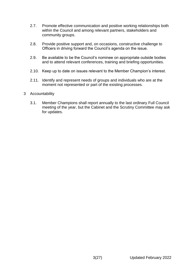- 2.7. Promote effective communication and positive working relationships both within the Council and among relevant partners, stakeholders and community groups.
- 2.8. Provide positive support and, on occasions, constructive challenge to Officers in driving forward the Council's agenda on the issue.
- 2.9. Be available to be the Council's nominee on appropriate outside bodies and to attend relevant conferences, training and briefing opportunities.
- 2.10. Keep up to date on issues relevant to the Member Champion's interest.
- 2.11. Identify and represent needs of groups and individuals who are at the moment not represented or part of the existing processes.
- 3 Accountability
	- 3.1. Member Champions shall report annually to the last ordinary Full Council meeting of the year, but the Cabinet and the Scrutiny Committee may ask for updates.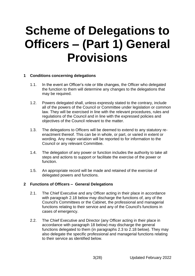# **Scheme of Delegations to Officers – (Part 1) General Provisions**

### **1 Conditions concerning delegations**

- 1.1. In the event an Officer's role or title changes, the Officer who delegated the function to them will determine any changes to the delegations that may be required.
- 1.2. Powers delegated shall, unless expressly stated to the contrary, include all of the powers of the Council or Committee under legislation or common law. They will be exercised in line with the relevant procedures, rules and regulations of the Council and in line with the expressed policies and objectives of the Council relevant to the matter.
- 1.3. The delegations to Officers will be deemed to extend to any statutory reenactment thereof. This can be in whole, or part, or varied in extent or wording. Any major variation will be reported to for information to the Council or any relevant Committee.
- 1.4. The delegation of any power or function includes the authority to take all steps and actions to support or facilitate the exercise of the power or function.
- 1.5. An appropriate record will be made and retained of the exercise of delegated powers and functions.

#### **2 Functions of Officers – General Delegations**

- 2.1. The Chief Executive and any Officer acting in their place in accordance with paragraph 2.18 below may discharge the functions of, any of the Council's Committees or the Cabinet, the professional and managerial functions relating to their service and any of the Council's functions in cases of emergency.
- 2.2. The Chief Executive and Director (any Officer acting in their place in accordance with paragraph 18 below) may discharge the general functions delegated to them (in paragraphs 2.3 to 2.18 below). They may also delegate the specific professional and managerial functions relating to their service as identified below.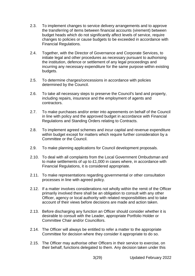- 2.3. To implement changes to service delivery arrangements and to approve the transferring of items between financial accounts (virement) between budget heads which do not significantly affect levels of service, require changes to policies or cause budgets to be exceeded in accordance with Financial Regulations.
- 2.4. Together, with the Director of Governance and Corporate Services, to initiate legal and other procedures as necessary pursuant to authorising the institution, defence or settlement of any legal proceedings and incurring any necessary expenditure for the same purpose within existing budgets.
- 2.5. To determine charges/concessions in accordance with policies determined by the Council.
- 2.6. To take all necessary steps to preserve the Council's land and property, including repairs, insurance and the employment of agents and contractors.
- 2.7. To make purchases and/or enter into agreements on behalf of the Council in line with policy and the approved budget in accordance with Financial Regulations and Standing Orders relating to Contracts.
- 2.8. To implement agreed schemes and incur capital and revenue expenditure within budget except for matters which require further consideration by a Committee or the Council.
- 2.9. To make planning applications for Council development proposals.
- 2.10. To deal with all complaints from the Local Government Ombudsman and to make settlements of up to £1,000 in cases where, in accordance with Financial Regulations, it is considered appropriate.
- 2.11. To make representations regarding governmental or other consultation processes in line with agreed policy.
- 2.12. If a matter involves considerations not wholly within the remit of the Officer primarily involved there shall be an obligation to consult with any other Officer, agency or local authority with related responsibilities and to take account of their views before decisions are made and action taken.
- 2.13. Before discharging any function an Officer should consider whether it is desirable to consult with the Leader, appropriate Portfolio Holder or Committee Chair and/or Councillors.
- 2.14. The Officer will always be entitled to refer a matter to the appropriate Committee for decision where they consider it appropriate to do so.
- 2.15. The Officer may authorise other Officers in their service to exercise, on their behalf, functions delegated to them. Any decision taken under this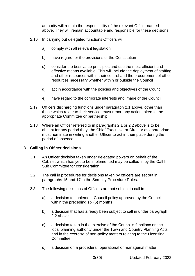authority will remain the responsibility of the relevant Officer named above. They will remain accountable and responsible for these decisions.

- 2.16. In carrying out delegated functions Officers will:
	- a) comply with all relevant legislation
	- b) have regard for the provisions of the Constitution
	- c) consider the best value principles and use the most efficient and effective means available. This will include the deployment of staffing and other resources within their control and the procurement of other resources necessary whether within or outside the Council
	- d) act in accordance with the policies and objectives of the Council
	- e) have regard to the corporate interests and image of the Council.
- 2.17. Officers discharging functions under paragraph 2.1 above, other than those which relate to their service, must report any action taken to the appropriate Committee or partnership.
- 2.18. Where an Officer referred to in paragraphs 2.1 or 2.2 above is to be absent for any period they, the Chief Executive or Director as appropriate, must nominate in writing another Officer to act in their place during the period of absence.

#### **3 Calling in Officer decisions**

- 3.1. An Officer decision taken under delegated powers on behalf of the Cabinet which has yet to be implemented may be called in by the Call In Sub Committee for consideration.
- 3.2. The call in procedures for decisions taken by officers are set out in paragraphs 15 and 17 in the Scrutiny Procedure Rules.
- 3.3. The following decisions of Officers are not subject to call in:
	- a) a decision to implement Council policy approved by the Council within the preceding six (6) months
	- b) a decision that has already been subject to call in under paragraph 2.2 above
	- c) a decision taken in the exercise of the Council's functions as the local planning authority under the Town and Country Planning Acts and in the exercise of non-policy matters relating to the Licensing **Committee**
	- d) a decision on a procedural, operational or managerial matter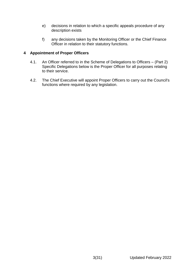- e) decisions in relation to which a specific appeals procedure of any description exists
- f) any decisions taken by the Monitoring Officer or the Chief Finance Officer in relation to their statutory functions.

### **4 Appointment of Proper Officers**

- 4.1. An Officer referred to in the Scheme of Delegations to Officers (Part 2) Specific Delegations below is the Proper Officer for all purposes relating to their service.
- 4.2. The Chief Executive will appoint Proper Officers to carry out the Council's functions where required by any legislation.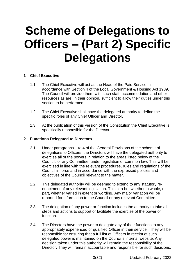# **Scheme of Delegations to Officers – (Part 2) Specific Delegations**

# **1 Chief Executive**

- 1.1. The Chief Executive will act as the Head of the Paid Service in accordance with Section 4 of the Local Government & Housing Act 1989. The Council will provide them with such staff, accommodation and other resources as are, in their opinion, sufficient to allow their duties under this section to be performed.
- 1.2. The Chief Executive shall have the delegated authority to define the specific roles of any Chief Officer and Director.
- 1.3. At the publication of this version of the Constitution the Chief Executive is specifically responsible for the Director.

#### **2 Functions Delegated to Directors**

- 2.1. Under paragraphs 1 to 4 of the General Provisions of the scheme of delegations to Officers, the Directors will have the delegated authority to exercise all of the powers in relation to the areas listed below of the Council, or any Committee, under legislation or common law. This will be exercised in line with the relevant procedures, rules and regulations of the Council in force and in accordance with the expressed policies and objectives of the Council relevant to the matter.
- 2.2. This delegated authority will be deemed to extend to any statutory reenactment of any relevant legislation. This can be, whether in whole, or part, whether varied in extent or wording. Any major variation will be reported for information to the Council or any relevant Committee.
- 2.3. The delegation of any power or function includes the authority to take all steps and actions to support or facilitate the exercise of the power or function.
- 2.4. The Directors have the power to delegate any of their functions to any appropriately experienced or qualified Officer in their service. They will be responsible for ensuring that a full list of Officers in receipt of such delegated power is maintained on the Council's internal website. Any decision taken under this authority will remain the responsibility of the Director. They will remain accountable and responsible for such decisions.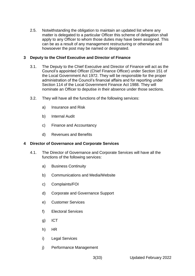2.5. Notwithstanding the obligation to maintain an updated list where any matter is delegated to a particular Officer this scheme of delegation shall apply to any Officer to whom those duties may have been assigned. This can be as a result of any management restructuring or otherwise and howsoever the post may be named or designated.

# **3 Deputy to the Chief Executive and Director of Finance**

- 3.1. The Deputy to the Chief Executive and Director of Finance will act as the Council's appointed Officer (Chief Finance Officer) under Section 151 of the Local Government Act 1972. They will be responsible for the proper administration of the Council's financial affairs and for reporting under Section 114 of the Local Government Finance Act 1988. They will nominate an Officer to deputise in their absence under those sections.
- 3.2. They will have all the functions of the following services:
	- a) Insurance and Risk
	- b) Internal Audit
	- c) Finance and Accountancy
	- d) Revenues and Benefits

# **4 Director of Governance and Corporate Services**

- 4.1. The Director of Governance and Corporate Services will have all the functions of the following services:
	- a) Business Continuity
	- b) Communications and Media/Website
	- c) Complaints/FOI
	- d) Corporate and Governance Support
	- e) Customer Services
	- f) Electoral Services
	- g) ICT
	- h) HR
	- i) Legal Services
	- j) Performance Management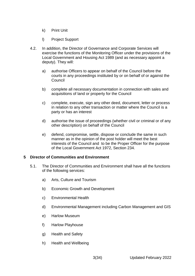- k) Print Unit
- l) Project Support
- 4.2. In addition, the Director of Governance and Corporate Services will exercise the functions of the Monitoring Officer under the provisions of the Local Government and Housing Act 1989 (and as necessary appoint a deputy). They will:
	- a) authorise Officers to appear on behalf of the Council before the courts in any proceedings instituted by or on behalf of or against the Council
	- b) complete all necessary documentation in connection with sales and acquisitions of land or property for the Council
	- c) complete, execute, sign any other deed, document, letter or process in relation to any other transaction or matter where the Council is a party or has an interest
	- d) authorise the issue of proceedings (whether civil or criminal or of any other description) on behalf of the Council
	- e) defend, compromise, settle, dispose or conclude the same in such manner as in the opinion of the post holder will meet the best interests of the Council and to be the Proper Officer for the purpose of the Local Government Act 1972, Section 234.

#### **5 Director of Communities and Environment**

- 5.1. The Director of Communities and Environment shall have all the functions of the following services:
	- a) Arts, Culture and Tourism
	- b) Economic Growth and Development
	- c) Environmental Health
	- d) Environmental Management including Carbon Management and GIS
	- e) Harlow Museum
	- f) Harlow Playhouse
	- g) Health and Safety
	- h) Health and Wellbeing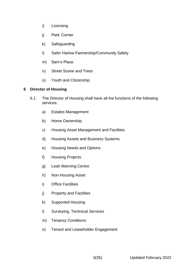- i) Licensing
- j) Pets' Corner
- k) Safeguarding
- l) Safer Harlow Partnership/Community Safety
- m) Sam's Place
- n) Street Scene and Trees
- o) Youth and Citizenship

### **6 Director of Housing**

- 6.1. The Director of Housing shall have all the functions of the following services:
	- a) Estates Management
	- b) Home Ownership
	- c) Housing Asset Management and Facilities
	- d) Housing Assets and Business Systems
	- e) Housing Needs and Options
	- f) Housing Projects
	- g) Leah Manning Centre
	- h) Non-Housing Asset
	- i) Office Facilities
	- j) Property and Facilities
	- k) Supported Housing
	- l) Surveying, Technical Services
	- m) Tenancy Conditions
	- n) Tenant and Leaseholder Engagement